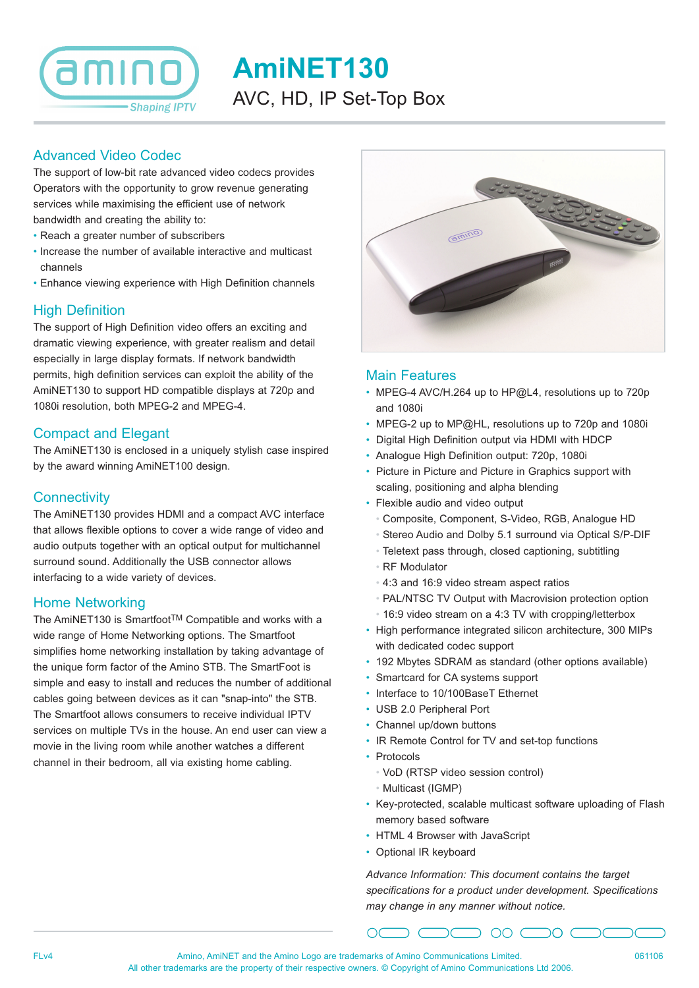

# **AmiNET130**

AVC, HD, IP Set-Top Box

# Advanced Video Codec

The support of low-bit rate advanced video codecs provides Operators with the opportunity to grow revenue generating services while maximising the efficient use of network bandwidth and creating the ability to:

- Reach a greater number of subscribers
- Increase the number of available interactive and multicast • channels
- Enhance viewing experience with High Definition channels

## High Definition

The support of High Definition video offers an exciting and dramatic viewing experience, with greater realism and detail especially in large display formats. If network bandwidth permits, high definition services can exploit the ability of the AmiNET130 to support HD compatible displays at 720p and 1080i resolution, both MPEG-2 and MPEG-4.

#### Compact and Elegant

The AmiNET130 is enclosed in a uniquely stylish case inspired by the award winning AmiNET100 design.

### **Connectivity**

The AmiNET130 provides HDMI and a compact AVC interface that allows flexible options to cover a wide range of video and audio outputs together with an optical output for multichannel surround sound. Additionally the USB connector allows interfacing to a wide variety of devices.

## Home Networking

The AmiNET130 is SmartfootTM Compatible and works with a wide range of Home Networking options. The Smartfoot simplifies home networking installation by taking advantage of the unique form factor of the Amino STB. The SmartFoot is simple and easy to install and reduces the number of additional cables going between devices as it can "snap-into" the STB. The Smartfoot allows consumers to receive individual IPTV services on multiple TVs in the house. An end user can view a movie in the living room while another watches a different channel in their bedroom, all via existing home cabling.



#### Main Features

- MPEG-4 AVC/H.264 up to HP@L4, resolutions up to 720p and 1080i
- MPEG-2 up to MP@HL, resolutions up to 720p and 1080i
- Digital High Definition output via HDMI with HDCP
- Analogue High Definition output: 720p, 1080i
- Picture in Picture and Picture in Graphics support with scaling, positioning and alpha blending
- Flexible audio and video output
	- Composite, Component, S-Video, RGB, Analogue HD
	- Stereo Audio and Dolby 5.1 surround via Optical S/P-DIF
	- Teletext pass through, closed captioning, subtitling
	- RF Modulator
	- 4:3 and 16:9 video stream aspect ratios
	- PAL/NTSC TV Output with Macrovision protection option
	- 16:9 video stream on a 4:3 TV with cropping/letterbox
- High performance integrated silicon architecture, 300 MIPs with dedicated codec support
- 192 Mbytes SDRAM as standard (other options available)
- Smartcard for CA systems support
- Interface to 10/100BaseT Ethernet
- USB 2.0 Peripheral Port
- Channel up/down buttons
- IR Remote Control for TV and set-top functions
- Protocols
	- VoD (RTSP video session control)
	- Multicast (IGMP)
- Key-protected, scalable multicast software uploading of Flash memory based software
- HTML 4 Browser with JavaScript
- Optional IR keyboard

*Advance Information: This document contains the target specifications for a product under development. Specifications may change in any manner without notice.*

 $\supset$   $\cap$   $\subset$ 

 $\supset$  00  $\subset$